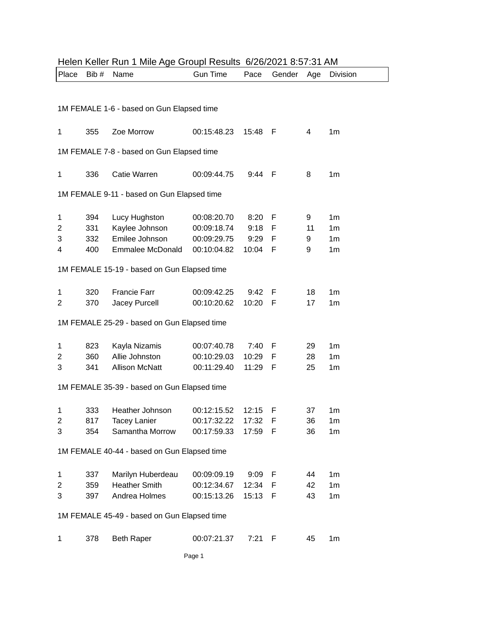| Helen Keller Run 1 Mile Age Groupl Results 6/26/2021 8:57:31 AM |       |                                             |                 |         |        |     |                |
|-----------------------------------------------------------------|-------|---------------------------------------------|-----------------|---------|--------|-----|----------------|
| Place                                                           | Bib # | Name                                        | <b>Gun Time</b> | Pace    | Gender | Age | Division       |
|                                                                 |       |                                             |                 |         |        |     |                |
|                                                                 |       |                                             |                 |         |        |     |                |
|                                                                 |       | 1M FEMALE 1-6 - based on Gun Elapsed time   |                 |         |        |     |                |
| 1                                                               | 355   | Zoe Morrow                                  | 00:15:48.23     | 15:48   | - F    | 4   | 1 <sub>m</sub> |
|                                                                 |       |                                             |                 |         |        |     |                |
|                                                                 |       | 1M FEMALE 7-8 - based on Gun Elapsed time   |                 |         |        |     |                |
|                                                                 |       |                                             |                 |         |        |     |                |
| 1                                                               | 336   | Catie Warren                                | 00:09:44.75     | 9:44    | - F    | 8   | 1 <sub>m</sub> |
|                                                                 |       | 1M FEMALE 9-11 - based on Gun Elapsed time  |                 |         |        |     |                |
|                                                                 |       |                                             |                 |         |        |     |                |
| 1                                                               | 394   | Lucy Hughston                               | 00:08:20.70     | 8:20 F  |        | 9   | 1 <sub>m</sub> |
| 2                                                               | 331   | Kaylee Johnson                              | 00:09:18.74     | 9:18 F  |        | 11  | 1 <sub>m</sub> |
| 3                                                               | 332   | Emilee Johnson                              | 00:09:29.75     | 9:29    | F      | 9   | 1 <sub>m</sub> |
| 4                                                               | 400   | <b>Emmalee McDonald</b>                     | 00:10:04.82     | 10:04 F |        | 9   | 1 <sub>m</sub> |
|                                                                 |       | 1M FEMALE 15-19 - based on Gun Elapsed time |                 |         |        |     |                |
|                                                                 |       |                                             |                 |         |        |     |                |
| 1                                                               | 320   | <b>Francie Farr</b>                         | 00:09:42.25     | 9:42    | F      | 18  | 1 <sub>m</sub> |
| 2                                                               | 370   | Jacey Purcell                               | 00:10:20.62     | 10:20   | - F    | 17  | 1 <sub>m</sub> |
|                                                                 |       |                                             |                 |         |        |     |                |
|                                                                 |       | 1M FEMALE 25-29 - based on Gun Elapsed time |                 |         |        |     |                |
| 1                                                               | 823   | Kayla Nizamis                               | 00:07:40.78     | 7:40 F  |        | 29  | 1 <sub>m</sub> |
| 2                                                               | 360   | Allie Johnston                              | 00:10:29.03     | 10:29   | F      | 28  | 1 <sub>m</sub> |
| 3                                                               | 341   | <b>Allison McNatt</b>                       | 00:11:29.40     | 11:29   | - F    | 25  | 1 <sub>m</sub> |
|                                                                 |       |                                             |                 |         |        |     |                |
|                                                                 |       | 1M FEMALE 35-39 - based on Gun Elapsed time |                 |         |        |     |                |
|                                                                 |       |                                             |                 |         |        |     |                |
| 1                                                               |       | 333 Heather Johnson                         | 00:12:15.52     | 12:15   | F      | 37  | 1 <sub>m</sub> |
| 2                                                               | 817   | <b>Tacey Lanier</b>                         | 00:17:32.22     | 17:32   | F      | 36  | 1m             |
| 3                                                               | 354   | Samantha Morrow                             | 00:17:59.33     | 17:59   | F      | 36  | 1 <sub>m</sub> |
|                                                                 |       | 1M FEMALE 40-44 - based on Gun Elapsed time |                 |         |        |     |                |
|                                                                 |       |                                             |                 |         |        |     |                |
| 1                                                               | 337   | Marilyn Huberdeau                           | 00:09:09.19     | 9:09 F  |        | 44  | 1 <sub>m</sub> |
| 2                                                               | 359   | <b>Heather Smith</b>                        | 00:12:34.67     | 12:34   | F      | 42  | 1 <sub>m</sub> |
| 3                                                               | 397   | Andrea Holmes                               | 00:15:13.26     | 15:13 F |        | 43  | 1 <sub>m</sub> |
|                                                                 |       |                                             |                 |         |        |     |                |
| 1M FEMALE 45-49 - based on Gun Elapsed time                     |       |                                             |                 |         |        |     |                |
| 1                                                               | 378   | <b>Beth Raper</b>                           | 00:07:21.37     | 7:21    | F      | 45  | 1 <sub>m</sub> |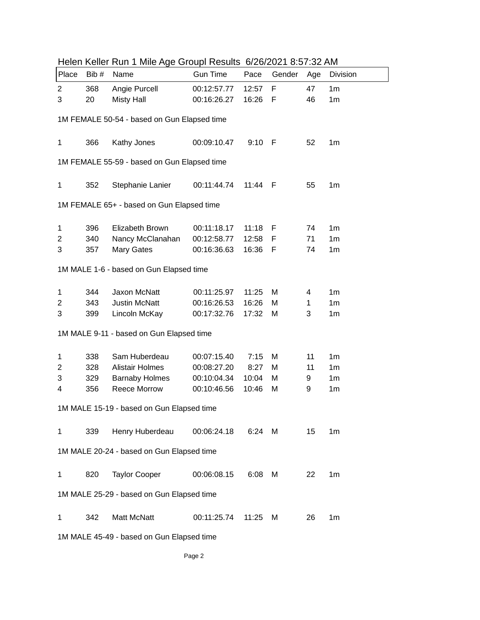| Place                                       | Bib #                                       | <u>FIGIOLI INGILI I INIIIO AYO OTOUPI INCOUND OIZOIZOZ I O.OT.OZ ANN</u><br>Name | <b>Gun Time</b> | Pace    | Gender | Age | Division       |  |  |
|---------------------------------------------|---------------------------------------------|----------------------------------------------------------------------------------|-----------------|---------|--------|-----|----------------|--|--|
| $\overline{2}$                              | 368                                         | Angie Purcell                                                                    | 00:12:57.77     | 12:57   | F      | 47  | 1 <sub>m</sub> |  |  |
| 3                                           | 20                                          | <b>Misty Hall</b>                                                                | 00:16:26.27     | 16:26   | F      | 46  | 1 <sub>m</sub> |  |  |
| 1M FEMALE 50-54 - based on Gun Elapsed time |                                             |                                                                                  |                 |         |        |     |                |  |  |
|                                             |                                             |                                                                                  |                 |         |        |     |                |  |  |
| 1                                           | 366                                         | Kathy Jones                                                                      | 00:09:10.47     | 9:10    | - F    | 52  | 1 <sub>m</sub> |  |  |
|                                             | 1M FEMALE 55-59 - based on Gun Elapsed time |                                                                                  |                 |         |        |     |                |  |  |
| 1                                           | 352                                         | Stephanie Lanier                                                                 | 00:11:44.74     | 11:44 F |        | 55  | 1m             |  |  |
| 1M FEMALE 65+ - based on Gun Elapsed time   |                                             |                                                                                  |                 |         |        |     |                |  |  |
| 1                                           | 396                                         | Elizabeth Brown                                                                  | 00:11:18.17     | 11:18 F |        | 74  | 1 <sub>m</sub> |  |  |
| 2                                           | 340                                         | Nancy McClanahan                                                                 | 00:12:58.77     | 12:58   | F      | 71  | 1 <sub>m</sub> |  |  |
| 3                                           | 357                                         | Mary Gates                                                                       | 00:16:36.63     | 16:36   | F      | 74  | 1 <sub>m</sub> |  |  |
|                                             | 1M MALE 1-6 - based on Gun Elapsed time     |                                                                                  |                 |         |        |     |                |  |  |
| 1                                           | 344                                         | Jaxon McNatt                                                                     | 00:11:25.97     | 11:25   | M      | 4   | 1 <sub>m</sub> |  |  |
| $\overline{c}$                              | 343                                         | <b>Justin McNatt</b>                                                             | 00:16:26.53     | 16:26   | M      | 1   | 1 <sub>m</sub> |  |  |
| 3                                           | 399                                         | Lincoln McKay                                                                    | 00:17:32.76     | 17:32   | M      | 3   | 1 <sub>m</sub> |  |  |
|                                             | 1M MALE 9-11 - based on Gun Elapsed time    |                                                                                  |                 |         |        |     |                |  |  |
| 1                                           | 338                                         | Sam Huberdeau                                                                    | 00:07:15.40     | 7:15    | M      | 11  | 1 <sub>m</sub> |  |  |
| 2                                           | 328                                         | <b>Alistair Holmes</b>                                                           | 00:08:27.20     | 8:27    | M      | 11  | 1 <sub>m</sub> |  |  |
| 3                                           | 329                                         | <b>Barnaby Holmes</b>                                                            | 00:10:04.34     | 10:04   | M      | 9   | 1 <sub>m</sub> |  |  |
| 4                                           | 356                                         | <b>Reece Morrow</b>                                                              | 00:10:46.56     | 10:46   | M      | 9   | 1 <sub>m</sub> |  |  |
| 1M MALE 15-19 - based on Gun Elapsed time   |                                             |                                                                                  |                 |         |        |     |                |  |  |
| 1                                           | 339                                         | Henry Huberdeau                                                                  | 00:06:24.18     |         | 6:24 M | 15  | 1m             |  |  |
| 1M MALE 20-24 - based on Gun Elapsed time   |                                             |                                                                                  |                 |         |        |     |                |  |  |
| 1                                           | 820                                         | <b>Taylor Cooper</b>                                                             | 00:06:08.15     | 6:08    | M      | 22  | 1 <sub>m</sub> |  |  |
| 1M MALE 25-29 - based on Gun Elapsed time   |                                             |                                                                                  |                 |         |        |     |                |  |  |
| 1                                           | 342                                         | Matt McNatt                                                                      | 00:11:25.74     | 11:25   | М      | 26  | 1 <sub>m</sub> |  |  |
| 1M MALE 45-49 - based on Gun Elapsed time   |                                             |                                                                                  |                 |         |        |     |                |  |  |

Helen Keller Run 1 Mile Age Groupl Results 6/26/2021 8:57:32 AM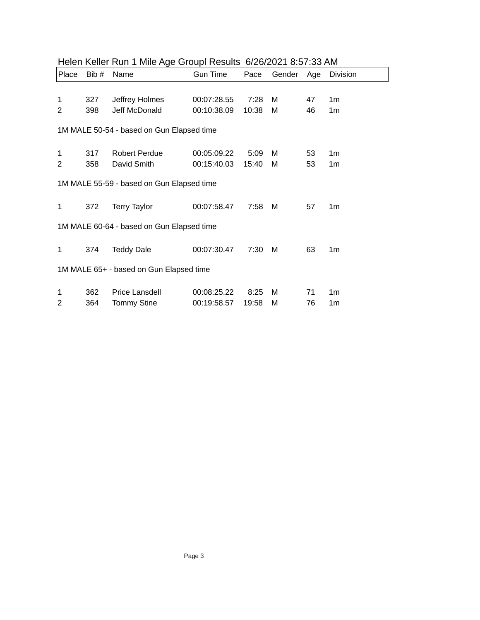| Place                                     | Bib #                                     | Name                 | <b>Gun Time</b> | Pace  | Gender | Age | Division       |  |
|-------------------------------------------|-------------------------------------------|----------------------|-----------------|-------|--------|-----|----------------|--|
|                                           |                                           |                      |                 |       |        |     |                |  |
| 1                                         | 327                                       | Jeffrey Holmes       | 00:07:28.55     | 7:28  | м      | 47  | 1 <sub>m</sub> |  |
| 2                                         | 398                                       | Jeff McDonald        | 00:10:38.09     | 10:38 | м      | 46  | 1 <sub>m</sub> |  |
|                                           | 1M MALE 50-54 - based on Gun Elapsed time |                      |                 |       |        |     |                |  |
| 1                                         | 317                                       | <b>Robert Perdue</b> | 00:05:09.22     | 5:09  | M      | 53  | 1m             |  |
| $\overline{2}$                            | 358                                       | David Smith          | 00:15:40.03     | 15:40 | м      | 53  | 1 <sub>m</sub> |  |
| 1M MALE 55-59 - based on Gun Elapsed time |                                           |                      |                 |       |        |     |                |  |
| 1                                         | 372                                       | <b>Terry Taylor</b>  | 00:07:58.47     | 7:58  | м      | 57  | 1m             |  |
| 1M MALE 60-64 - based on Gun Elapsed time |                                           |                      |                 |       |        |     |                |  |
| 1                                         | 374                                       | <b>Teddy Dale</b>    | 00:07:30.47     | 7:30  | м      | 63  | 1m             |  |
| 1M MALE 65+ - based on Gun Elapsed time   |                                           |                      |                 |       |        |     |                |  |
| 1                                         | 362                                       | Price Lansdell       | 00:08:25.22     | 8:25  | м      | 71  | 1 <sub>m</sub> |  |
| 2                                         | 364                                       | <b>Tommy Stine</b>   | 00:19:58.57     | 19:58 | М      | 76  | 1m             |  |

## Helen Keller Run 1 Mile Age Groupl Results 6/26/2021 8:57:33 AM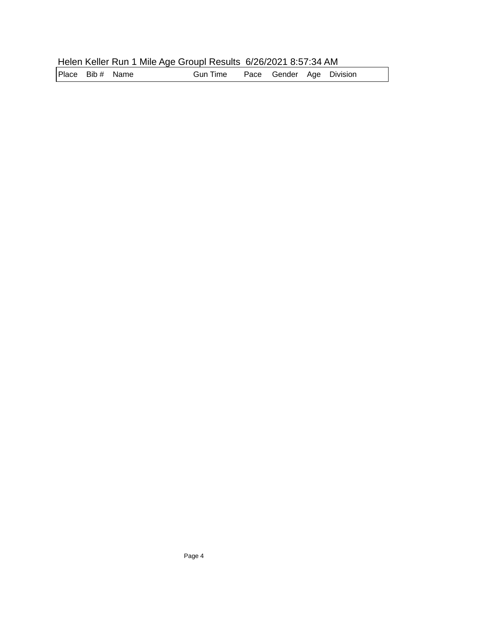## Helen Keller Run 1 Mile Age Groupl Results 6/26/2021 8:57:34 AM

Place Bib # Name **Gun Time** Pace Gender Age Division